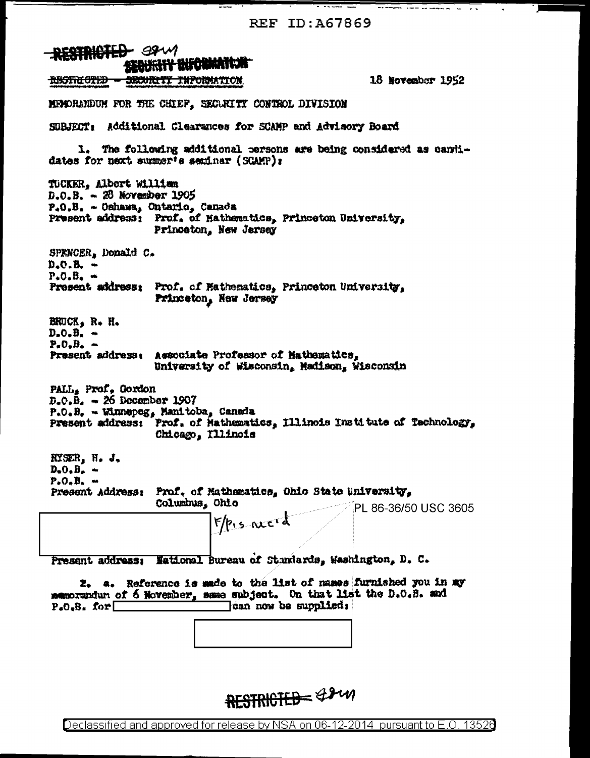REF ID: A67869

 $\frac{1}{2}$   $\frac{1}{2}$   $\frac{1}{2}$   $\frac{1}{2}$   $\frac{1}{2}$   $\frac{1}{2}$   $\frac{1}{2}$   $\frac{1}{2}$   $\frac{1}{2}$   $\frac{1}{2}$   $\frac{1}{2}$   $\frac{1}{2}$   $\frac{1}{2}$   $\frac{1}{2}$   $\frac{1}{2}$   $\frac{1}{2}$   $\frac{1}{2}$   $\frac{1}{2}$   $\frac{1}{2}$   $\frac{1}{2}$   $\frac{1}{2}$   $\frac{1}{2}$ 

**RESTRICTED** 38W SECURITY INFORMATION 18 November 1952 <del>RESTRICTED - SECURITI INFORMATION</del> MEMORANDUM FOR THE CHIEF. SECURITY CONTROL DIVISION SUBJECT: Additional Clearances for SCAMP and Advisory Board 1. The following additional persons are being considered as cantidates for next summer's seminar (SCAMP): TUCKER, Albert William  $D = 0.8$ . - 28 November 1905  $P_{*}0_{*}B_{*}$  - Oshawa, Ontario, Canada Present address: Prof. of Mathematics, Princeton University, Princeton, New Jersey SPRNCER, Donald C.  $D<sub>z</sub>C<sub>z</sub>B<sub>z</sub>$   $P<sub>4</sub>O<sub>6</sub>B<sub>4</sub>$  = Present address: Prof. of Mathematics, Princeton University, Princeton, New Jersey **BRUCK, R. H.**  $D<sub>z</sub>O<sub>z</sub>B<sub>z</sub>$   $\sim$  $P<sub>n</sub>O<sub>n</sub>B<sub>n</sub>$   $\rightarrow$ Present address: Associate Professor of Mathematics, University of Wisconsin, Madison, Wisconsin PALL, Prof. Gordon  $D<sub>z</sub>O<sub>z</sub>B<sub>z</sub> = 26$  December 1907  $P_{*}O_{*}B_{*}$  - Winnepeg, Manitoba, Canada Present address: Prof. of Mathematics, Illinois Institute of Technology, Chicago, Illinois RYSER, W. J.  $D<sub>0</sub>$ ,  $B<sub>n</sub>$  =  $P. O. B. -$ Present Address: Prof. of Mathematics, Ohio State University, Columbus, Ohio PL 86-36/50 USC 3605  $F/p$ , s need Present address: National Bureau of Standards, Washington, D. C. 2. a. Reference is made to the list of names furnished you in my memorandur of 6 November, same subject. On that list the D.O.B. and  $P_{*}O_{*}B_{*}$  for  $\Box$ can now be supplied;

RESTRICTED &2m

Declassified and approved for release by NSA on 06-12-2014 pursuant to E.O. 13526